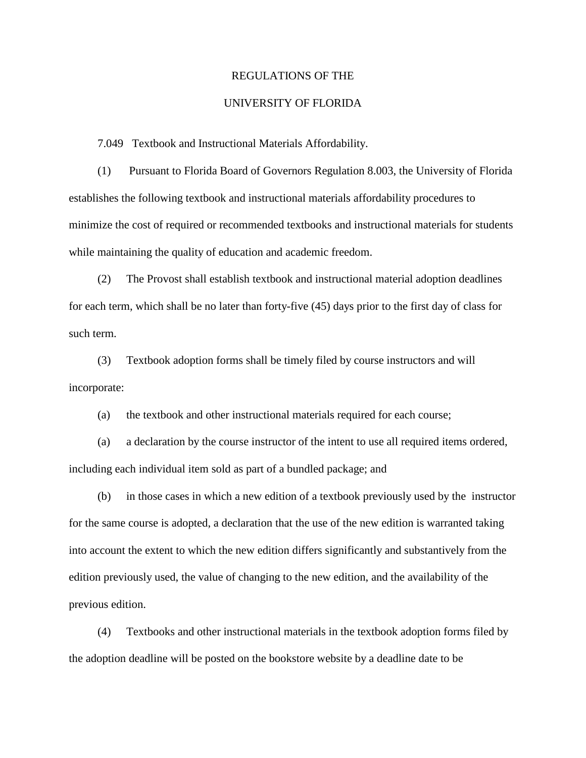## REGULATIONS OF THE

## UNIVERSITY OF FLORIDA

7.049 Textbook and Instructional Materials Affordability.

 (1) Pursuant to Florida Board of Governors Regulation 8.003, the University of Florida establishes the following textbook and instructional materials affordability procedures to minimize the cost of required or recommended textbooks and instructional materials for students while maintaining the quality of education and academic freedom.

(2) The Provost shall establish textbook and instructional material adoption deadlines for each term, which shall be no later than forty-five (45) days prior to the first day of class for such term.

(3) Textbook adoption forms shall be timely filed by course instructors and will incorporate:

(a) the textbook and other instructional materials required for each course;

(a) a declaration by the course instructor of the intent to use all required items ordered, including each individual item sold as part of a bundled package; and

(b) in those cases in which a new edition of a textbook previously used by the instructor for the same course is adopted, a declaration that the use of the new edition is warranted taking into account the extent to which the new edition differs significantly and substantively from the edition previously used, the value of changing to the new edition, and the availability of the previous edition.

(4) Textbooks and other instructional materials in the textbook adoption forms filed by the adoption deadline will be posted on the bookstore website by a deadline date to be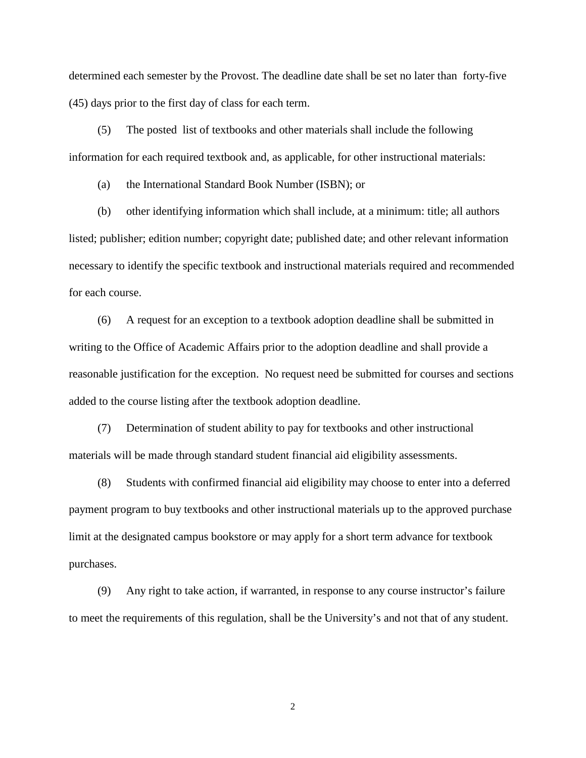determined each semester by the Provost. The deadline date shall be set no later than forty-five (45) days prior to the first day of class for each term.

(5) The posted list of textbooks and other materials shall include the following information for each required textbook and, as applicable, for other instructional materials:

(a) the International Standard Book Number (ISBN); or

(b) other identifying information which shall include, at a minimum: title; all authors listed; publisher; edition number; copyright date; published date; and other relevant information necessary to identify the specific textbook and instructional materials required and recommended for each course.

(6) A request for an exception to a textbook adoption deadline shall be submitted in writing to the Office of Academic Affairs prior to the adoption deadline and shall provide a reasonable justification for the exception. No request need be submitted for courses and sections added to the course listing after the textbook adoption deadline.

(7) Determination of student ability to pay for textbooks and other instructional materials will be made through standard student financial aid eligibility assessments.

(8) Students with confirmed financial aid eligibility may choose to enter into a deferred payment program to buy textbooks and other instructional materials up to the approved purchase limit at the designated campus bookstore or may apply for a short term advance for textbook purchases.

(9) Any right to take action, if warranted, in response to any course instructor's failure to meet the requirements of this regulation, shall be the University's and not that of any student.

2